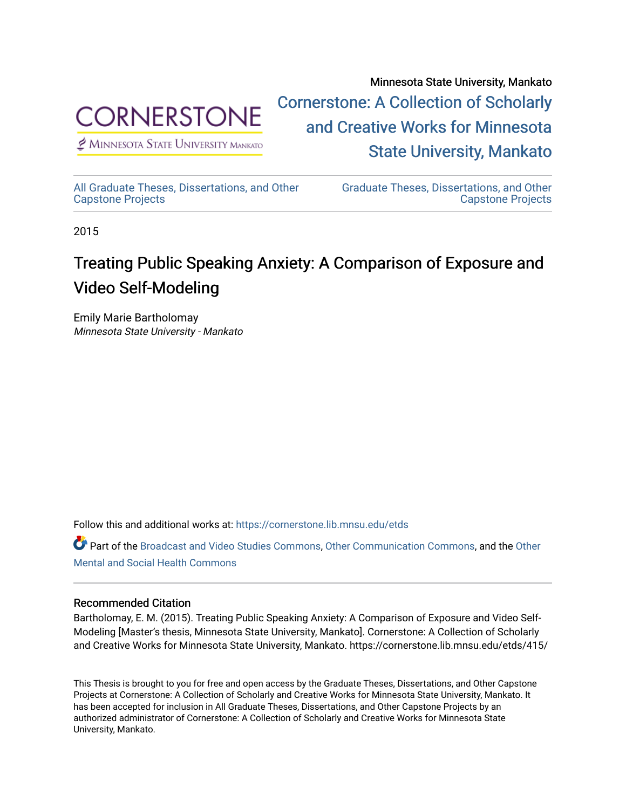

 $<sup>2</sup>$  Minnesota State University Mankato</sup>

Minnesota State University, Mankato [Cornerstone: A Collection of Scholarly](https://cornerstone.lib.mnsu.edu/)  [and Creative Works for Minnesota](https://cornerstone.lib.mnsu.edu/)  [State University, Mankato](https://cornerstone.lib.mnsu.edu/) 

[All Graduate Theses, Dissertations, and Other](https://cornerstone.lib.mnsu.edu/etds)  [Capstone Projects](https://cornerstone.lib.mnsu.edu/etds) 

[Graduate Theses, Dissertations, and Other](https://cornerstone.lib.mnsu.edu/theses_dissertations-capstone)  [Capstone Projects](https://cornerstone.lib.mnsu.edu/theses_dissertations-capstone) 

2015

# Treating Public Speaking Anxiety: A Comparison of Exposure and Video Self-Modeling

Emily Marie Bartholomay Minnesota State University - Mankato

Follow this and additional works at: [https://cornerstone.lib.mnsu.edu/etds](https://cornerstone.lib.mnsu.edu/etds?utm_source=cornerstone.lib.mnsu.edu%2Fetds%2F415&utm_medium=PDF&utm_campaign=PDFCoverPages) 

Part of the [Broadcast and Video Studies Commons,](http://network.bepress.com/hgg/discipline/326?utm_source=cornerstone.lib.mnsu.edu%2Fetds%2F415&utm_medium=PDF&utm_campaign=PDFCoverPages) [Other Communication Commons,](http://network.bepress.com/hgg/discipline/339?utm_source=cornerstone.lib.mnsu.edu%2Fetds%2F415&utm_medium=PDF&utm_campaign=PDFCoverPages) and the [Other](http://network.bepress.com/hgg/discipline/717?utm_source=cornerstone.lib.mnsu.edu%2Fetds%2F415&utm_medium=PDF&utm_campaign=PDFCoverPages)  [Mental and Social Health Commons](http://network.bepress.com/hgg/discipline/717?utm_source=cornerstone.lib.mnsu.edu%2Fetds%2F415&utm_medium=PDF&utm_campaign=PDFCoverPages) 

### Recommended Citation

Bartholomay, E. M. (2015). Treating Public Speaking Anxiety: A Comparison of Exposure and Video Self-Modeling [Master's thesis, Minnesota State University, Mankato]. Cornerstone: A Collection of Scholarly and Creative Works for Minnesota State University, Mankato. https://cornerstone.lib.mnsu.edu/etds/415/

This Thesis is brought to you for free and open access by the Graduate Theses, Dissertations, and Other Capstone Projects at Cornerstone: A Collection of Scholarly and Creative Works for Minnesota State University, Mankato. It has been accepted for inclusion in All Graduate Theses, Dissertations, and Other Capstone Projects by an authorized administrator of Cornerstone: A Collection of Scholarly and Creative Works for Minnesota State University, Mankato.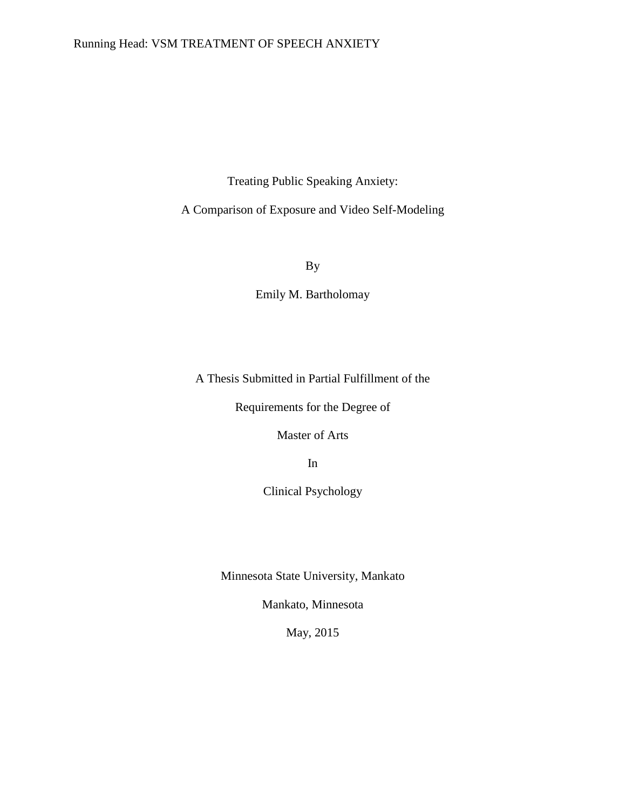# Running Head: VSM TREATMENT OF SPEECH ANXIETY

Treating Public Speaking Anxiety:

A Comparison of Exposure and Video Self-Modeling

By

Emily M. Bartholomay

A Thesis Submitted in Partial Fulfillment of the

Requirements for the Degree of

Master of Arts

In

Clinical Psychology

Minnesota State University, Mankato

Mankato, Minnesota

May, 2015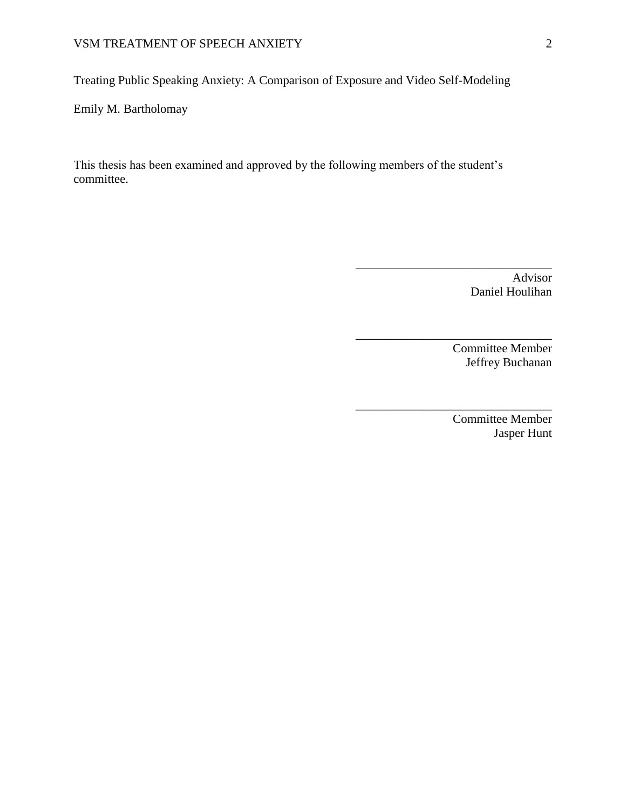Treating Public Speaking Anxiety: A Comparison of Exposure and Video Self-Modeling

Emily M. Bartholomay

This thesis has been examined and approved by the following members of the student's committee.

> Advisor Daniel Houlihan

\_\_\_\_\_\_\_\_\_\_\_\_\_\_\_\_\_\_\_\_\_\_\_\_\_\_\_\_\_\_\_\_

\_\_\_\_\_\_\_\_\_\_\_\_\_\_\_\_\_\_\_\_\_\_\_\_\_\_\_\_\_\_\_\_

\_\_\_\_\_\_\_\_\_\_\_\_\_\_\_\_\_\_\_\_\_\_\_\_\_\_\_\_\_\_\_\_

Committee Member Jeffrey Buchanan

Committee Member Jasper Hunt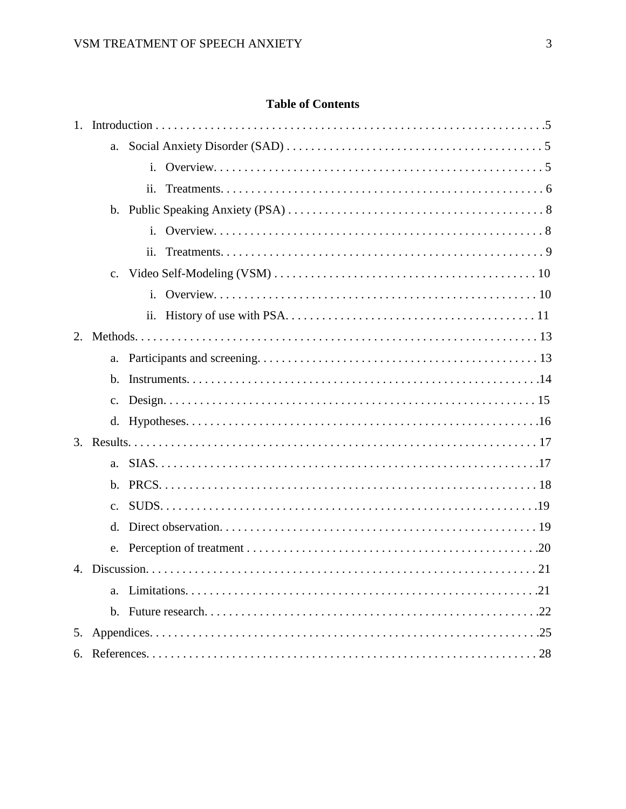# **Table of Contents**

| 1. |                |                |
|----|----------------|----------------|
|    | a.             |                |
|    |                | $\mathbf{i}$ . |
|    |                | ii.            |
|    |                |                |
|    |                |                |
|    |                | ii.            |
|    |                |                |
|    |                |                |
|    |                |                |
|    |                |                |
|    |                |                |
|    | $\mathbf{b}$ . |                |
|    | c.             |                |
|    |                |                |
|    |                |                |
|    | a.             |                |
|    |                |                |
|    |                |                |
|    | d.             |                |
|    |                |                |
|    |                |                |
|    | a.             |                |
|    |                |                |
| 5. |                |                |
|    |                |                |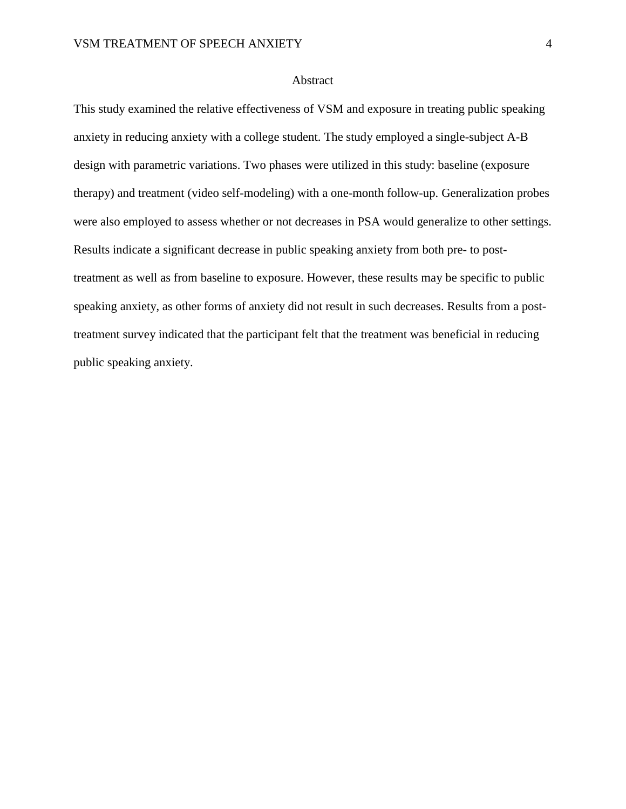### Abstract

This study examined the relative effectiveness of VSM and exposure in treating public speaking anxiety in reducing anxiety with a college student. The study employed a single-subject A-B design with parametric variations. Two phases were utilized in this study: baseline (exposure therapy) and treatment (video self-modeling) with a one-month follow-up. Generalization probes were also employed to assess whether or not decreases in PSA would generalize to other settings. Results indicate a significant decrease in public speaking anxiety from both pre- to posttreatment as well as from baseline to exposure. However, these results may be specific to public speaking anxiety, as other forms of anxiety did not result in such decreases. Results from a posttreatment survey indicated that the participant felt that the treatment was beneficial in reducing public speaking anxiety.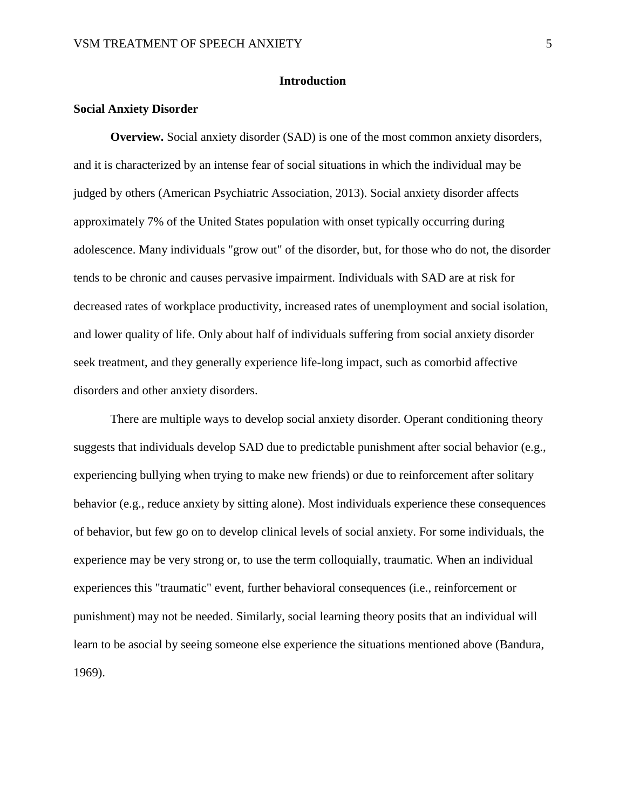### **Introduction**

### **Social Anxiety Disorder**

**Overview.** Social anxiety disorder (SAD) is one of the most common anxiety disorders, and it is characterized by an intense fear of social situations in which the individual may be judged by others (American Psychiatric Association, 2013). Social anxiety disorder affects approximately 7% of the United States population with onset typically occurring during adolescence. Many individuals "grow out" of the disorder, but, for those who do not, the disorder tends to be chronic and causes pervasive impairment. Individuals with SAD are at risk for decreased rates of workplace productivity, increased rates of unemployment and social isolation, and lower quality of life. Only about half of individuals suffering from social anxiety disorder seek treatment, and they generally experience life-long impact, such as comorbid affective disorders and other anxiety disorders.

There are multiple ways to develop social anxiety disorder. Operant conditioning theory suggests that individuals develop SAD due to predictable punishment after social behavior (e.g., experiencing bullying when trying to make new friends) or due to reinforcement after solitary behavior (e.g., reduce anxiety by sitting alone). Most individuals experience these consequences of behavior, but few go on to develop clinical levels of social anxiety. For some individuals, the experience may be very strong or, to use the term colloquially, traumatic. When an individual experiences this "traumatic" event, further behavioral consequences (i.e., reinforcement or punishment) may not be needed. Similarly, social learning theory posits that an individual will learn to be asocial by seeing someone else experience the situations mentioned above (Bandura, 1969).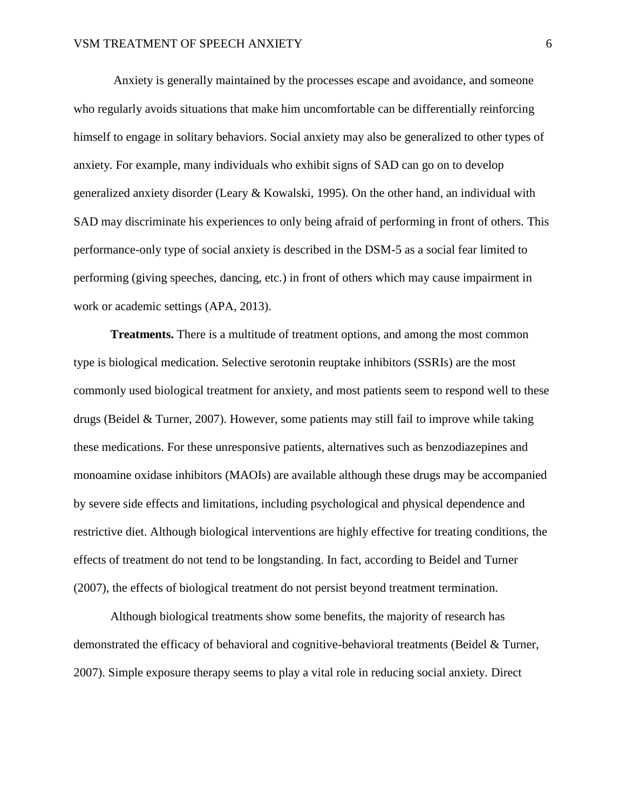Anxiety is generally maintained by the processes escape and avoidance, and someone who regularly avoids situations that make him uncomfortable can be differentially reinforcing himself to engage in solitary behaviors. Social anxiety may also be generalized to other types of anxiety. For example, many individuals who exhibit signs of SAD can go on to develop generalized anxiety disorder (Leary & Kowalski, 1995). On the other hand, an individual with SAD may discriminate his experiences to only being afraid of performing in front of others. This performance-only type of social anxiety is described in the DSM-5 as a social fear limited to performing (giving speeches, dancing, etc.) in front of others which may cause impairment in work or academic settings (APA, 2013).

**Treatments.** There is a multitude of treatment options, and among the most common type is biological medication. Selective serotonin reuptake inhibitors (SSRIs) are the most commonly used biological treatment for anxiety, and most patients seem to respond well to these drugs (Beidel & Turner, 2007). However, some patients may still fail to improve while taking these medications. For these unresponsive patients, alternatives such as benzodiazepines and monoamine oxidase inhibitors (MAOIs) are available although these drugs may be accompanied by severe side effects and limitations, including psychological and physical dependence and restrictive diet. Although biological interventions are highly effective for treating conditions, the effects of treatment do not tend to be longstanding. In fact, according to Beidel and Turner (2007), the effects of biological treatment do not persist beyond treatment termination.

Although biological treatments show some benefits, the majority of research has demonstrated the efficacy of behavioral and cognitive-behavioral treatments (Beidel & Turner, 2007). Simple exposure therapy seems to play a vital role in reducing social anxiety. Direct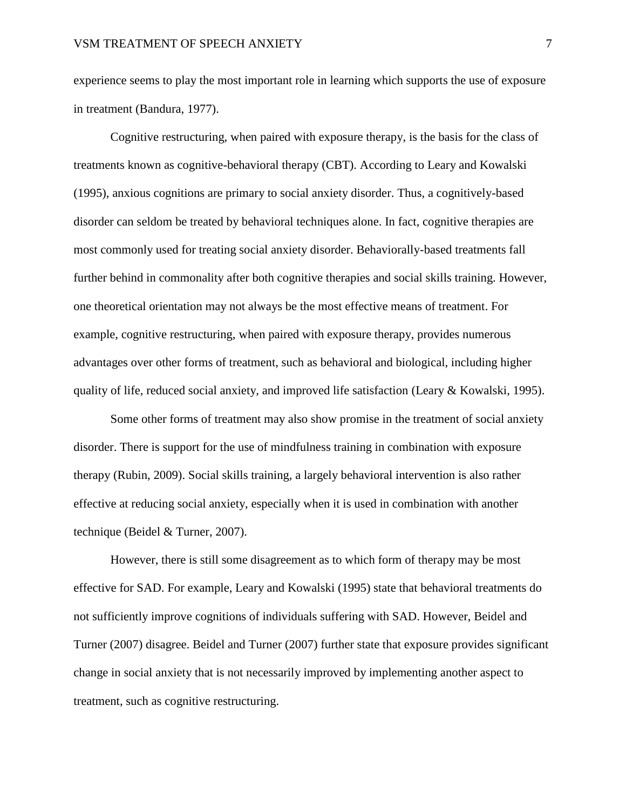experience seems to play the most important role in learning which supports the use of exposure in treatment (Bandura, 1977).

Cognitive restructuring, when paired with exposure therapy, is the basis for the class of treatments known as cognitive-behavioral therapy (CBT). According to Leary and Kowalski (1995), anxious cognitions are primary to social anxiety disorder. Thus, a cognitively-based disorder can seldom be treated by behavioral techniques alone. In fact, cognitive therapies are most commonly used for treating social anxiety disorder. Behaviorally-based treatments fall further behind in commonality after both cognitive therapies and social skills training. However, one theoretical orientation may not always be the most effective means of treatment. For example, cognitive restructuring, when paired with exposure therapy, provides numerous advantages over other forms of treatment, such as behavioral and biological, including higher quality of life, reduced social anxiety, and improved life satisfaction (Leary & Kowalski, 1995).

Some other forms of treatment may also show promise in the treatment of social anxiety disorder. There is support for the use of mindfulness training in combination with exposure therapy (Rubin, 2009). Social skills training, a largely behavioral intervention is also rather effective at reducing social anxiety, especially when it is used in combination with another technique (Beidel & Turner, 2007).

However, there is still some disagreement as to which form of therapy may be most effective for SAD. For example, Leary and Kowalski (1995) state that behavioral treatments do not sufficiently improve cognitions of individuals suffering with SAD. However, Beidel and Turner (2007) disagree. Beidel and Turner (2007) further state that exposure provides significant change in social anxiety that is not necessarily improved by implementing another aspect to treatment, such as cognitive restructuring.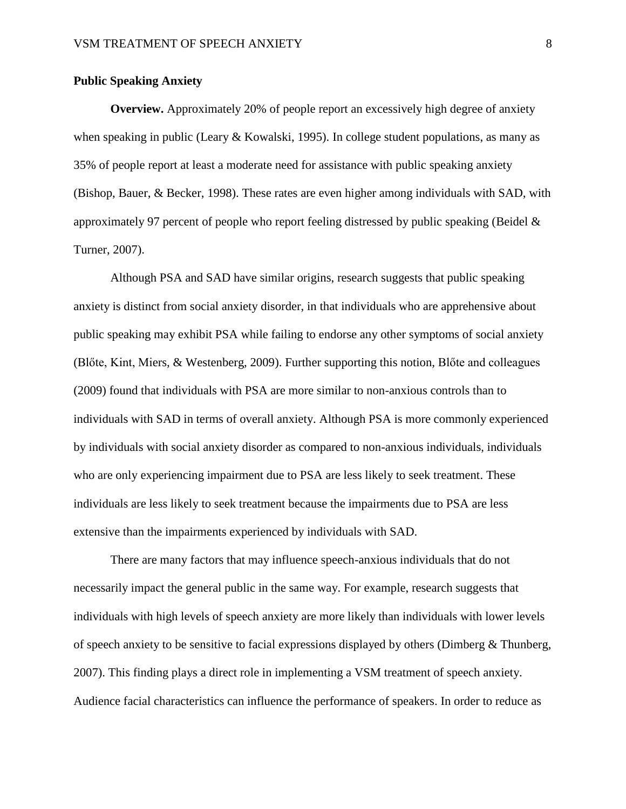### **Public Speaking Anxiety**

**Overview.** Approximately 20% of people report an excessively high degree of anxiety when speaking in public (Leary & Kowalski, 1995). In college student populations, as many as 35% of people report at least a moderate need for assistance with public speaking anxiety (Bishop, Bauer, & Becker, 1998). These rates are even higher among individuals with SAD, with approximately 97 percent of people who report feeling distressed by public speaking (Beidel & Turner, 2007).

Although PSA and SAD have similar origins, research suggests that public speaking anxiety is distinct from social anxiety disorder, in that individuals who are apprehensive about public speaking may exhibit PSA while failing to endorse any other symptoms of social anxiety (Blőte, Kint, Miers, & Westenberg, 2009). Further supporting this notion, Blőte and colleagues (2009) found that individuals with PSA are more similar to non-anxious controls than to individuals with SAD in terms of overall anxiety. Although PSA is more commonly experienced by individuals with social anxiety disorder as compared to non-anxious individuals, individuals who are only experiencing impairment due to PSA are less likely to seek treatment. These individuals are less likely to seek treatment because the impairments due to PSA are less extensive than the impairments experienced by individuals with SAD.

There are many factors that may influence speech-anxious individuals that do not necessarily impact the general public in the same way. For example, research suggests that individuals with high levels of speech anxiety are more likely than individuals with lower levels of speech anxiety to be sensitive to facial expressions displayed by others (Dimberg  $\&$  Thunberg, 2007). This finding plays a direct role in implementing a VSM treatment of speech anxiety. Audience facial characteristics can influence the performance of speakers. In order to reduce as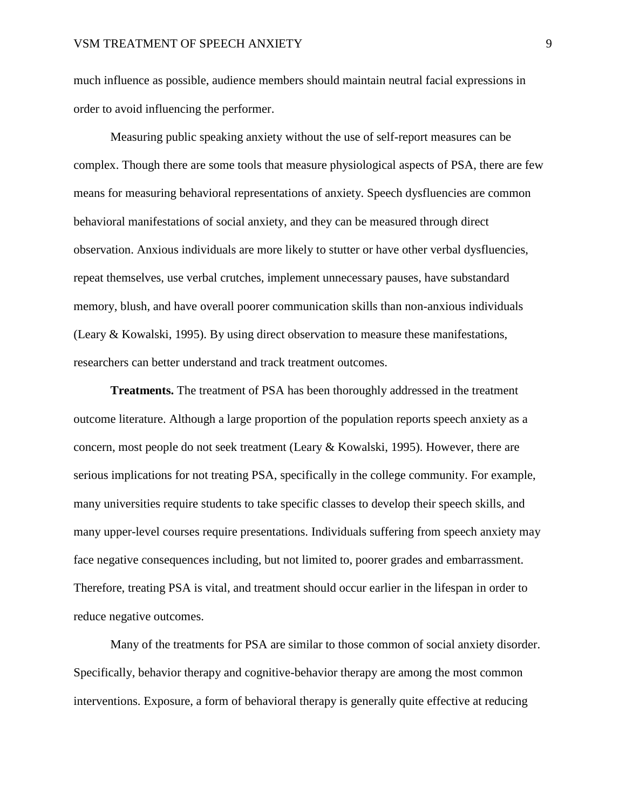much influence as possible, audience members should maintain neutral facial expressions in order to avoid influencing the performer.

Measuring public speaking anxiety without the use of self-report measures can be complex. Though there are some tools that measure physiological aspects of PSA, there are few means for measuring behavioral representations of anxiety. Speech dysfluencies are common behavioral manifestations of social anxiety, and they can be measured through direct observation. Anxious individuals are more likely to stutter or have other verbal dysfluencies, repeat themselves, use verbal crutches, implement unnecessary pauses, have substandard memory, blush, and have overall poorer communication skills than non-anxious individuals (Leary & Kowalski, 1995). By using direct observation to measure these manifestations, researchers can better understand and track treatment outcomes.

**Treatments.** The treatment of PSA has been thoroughly addressed in the treatment outcome literature. Although a large proportion of the population reports speech anxiety as a concern, most people do not seek treatment (Leary & Kowalski, 1995). However, there are serious implications for not treating PSA, specifically in the college community. For example, many universities require students to take specific classes to develop their speech skills, and many upper-level courses require presentations. Individuals suffering from speech anxiety may face negative consequences including, but not limited to, poorer grades and embarrassment. Therefore, treating PSA is vital, and treatment should occur earlier in the lifespan in order to reduce negative outcomes.

Many of the treatments for PSA are similar to those common of social anxiety disorder. Specifically, behavior therapy and cognitive-behavior therapy are among the most common interventions. Exposure, a form of behavioral therapy is generally quite effective at reducing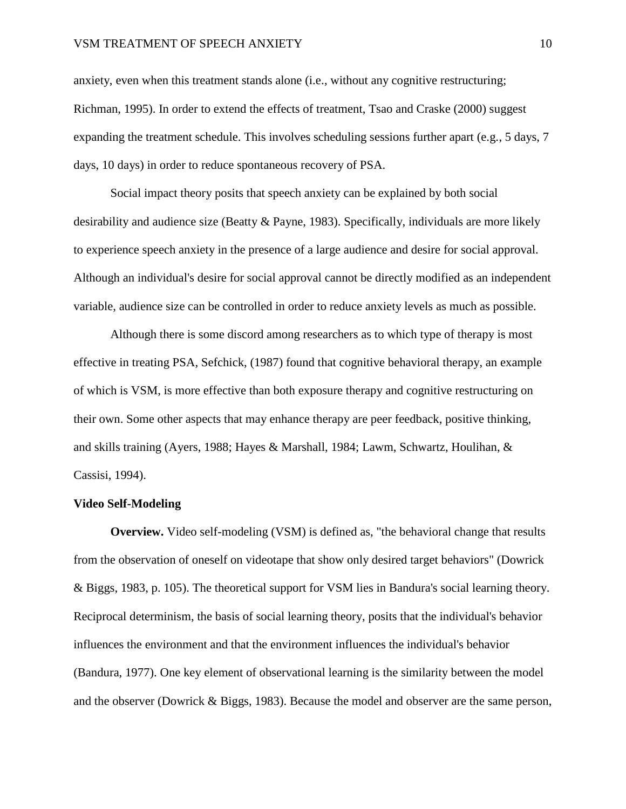anxiety, even when this treatment stands alone (i.e., without any cognitive restructuring; Richman, 1995). In order to extend the effects of treatment, Tsao and Craske (2000) suggest expanding the treatment schedule. This involves scheduling sessions further apart (e.g., 5 days, 7 days, 10 days) in order to reduce spontaneous recovery of PSA.

Social impact theory posits that speech anxiety can be explained by both social desirability and audience size (Beatty & Payne, 1983). Specifically, individuals are more likely to experience speech anxiety in the presence of a large audience and desire for social approval. Although an individual's desire for social approval cannot be directly modified as an independent variable, audience size can be controlled in order to reduce anxiety levels as much as possible.

Although there is some discord among researchers as to which type of therapy is most effective in treating PSA, Sefchick, (1987) found that cognitive behavioral therapy, an example of which is VSM, is more effective than both exposure therapy and cognitive restructuring on their own. Some other aspects that may enhance therapy are peer feedback, positive thinking, and skills training (Ayers, 1988; Hayes & Marshall, 1984; Lawm, Schwartz, Houlihan, & Cassisi, 1994).

### **Video Self-Modeling**

**Overview.** Video self-modeling (VSM) is defined as, "the behavioral change that results from the observation of oneself on videotape that show only desired target behaviors" (Dowrick & Biggs, 1983, p. 105). The theoretical support for VSM lies in Bandura's social learning theory. Reciprocal determinism, the basis of social learning theory, posits that the individual's behavior influences the environment and that the environment influences the individual's behavior (Bandura, 1977). One key element of observational learning is the similarity between the model and the observer (Dowrick & Biggs, 1983). Because the model and observer are the same person,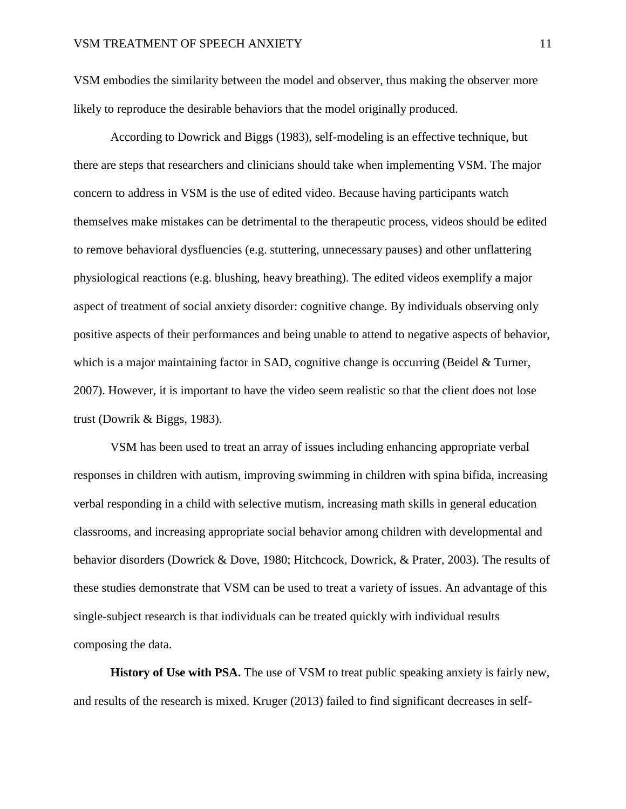VSM embodies the similarity between the model and observer, thus making the observer more likely to reproduce the desirable behaviors that the model originally produced.

According to Dowrick and Biggs (1983), self-modeling is an effective technique, but there are steps that researchers and clinicians should take when implementing VSM. The major concern to address in VSM is the use of edited video. Because having participants watch themselves make mistakes can be detrimental to the therapeutic process, videos should be edited to remove behavioral dysfluencies (e.g. stuttering, unnecessary pauses) and other unflattering physiological reactions (e.g. blushing, heavy breathing). The edited videos exemplify a major aspect of treatment of social anxiety disorder: cognitive change. By individuals observing only positive aspects of their performances and being unable to attend to negative aspects of behavior, which is a major maintaining factor in SAD, cognitive change is occurring (Beidel & Turner, 2007). However, it is important to have the video seem realistic so that the client does not lose trust (Dowrik & Biggs, 1983).

VSM has been used to treat an array of issues including enhancing appropriate verbal responses in children with autism, improving swimming in children with spina bifida, increasing verbal responding in a child with selective mutism, increasing math skills in general education classrooms, and increasing appropriate social behavior among children with developmental and behavior disorders (Dowrick & Dove, 1980; Hitchcock, Dowrick, & Prater, 2003). The results of these studies demonstrate that VSM can be used to treat a variety of issues. An advantage of this single-subject research is that individuals can be treated quickly with individual results composing the data.

**History of Use with PSA.** The use of VSM to treat public speaking anxiety is fairly new, and results of the research is mixed. Kruger (2013) failed to find significant decreases in self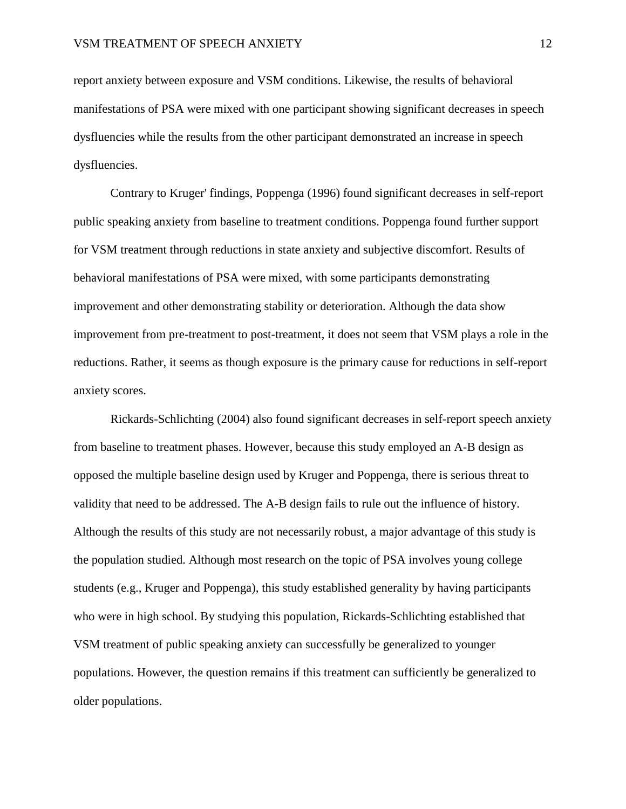report anxiety between exposure and VSM conditions. Likewise, the results of behavioral manifestations of PSA were mixed with one participant showing significant decreases in speech dysfluencies while the results from the other participant demonstrated an increase in speech dysfluencies.

Contrary to Kruger' findings, Poppenga (1996) found significant decreases in self-report public speaking anxiety from baseline to treatment conditions. Poppenga found further support for VSM treatment through reductions in state anxiety and subjective discomfort. Results of behavioral manifestations of PSA were mixed, with some participants demonstrating improvement and other demonstrating stability or deterioration. Although the data show improvement from pre-treatment to post-treatment, it does not seem that VSM plays a role in the reductions. Rather, it seems as though exposure is the primary cause for reductions in self-report anxiety scores.

Rickards-Schlichting (2004) also found significant decreases in self-report speech anxiety from baseline to treatment phases. However, because this study employed an A-B design as opposed the multiple baseline design used by Kruger and Poppenga, there is serious threat to validity that need to be addressed. The A-B design fails to rule out the influence of history. Although the results of this study are not necessarily robust, a major advantage of this study is the population studied. Although most research on the topic of PSA involves young college students (e.g., Kruger and Poppenga), this study established generality by having participants who were in high school. By studying this population, Rickards-Schlichting established that VSM treatment of public speaking anxiety can successfully be generalized to younger populations. However, the question remains if this treatment can sufficiently be generalized to older populations.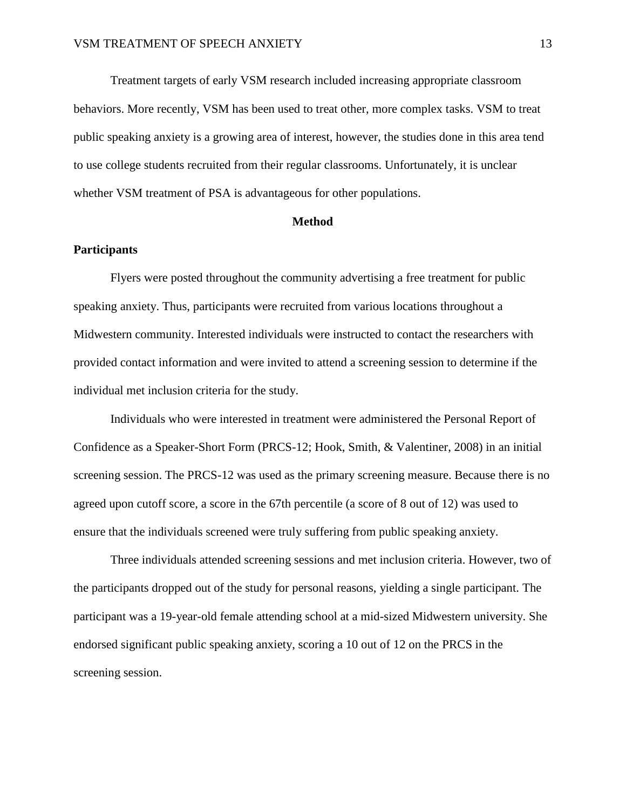Treatment targets of early VSM research included increasing appropriate classroom behaviors. More recently, VSM has been used to treat other, more complex tasks. VSM to treat public speaking anxiety is a growing area of interest, however, the studies done in this area tend to use college students recruited from their regular classrooms. Unfortunately, it is unclear whether VSM treatment of PSA is advantageous for other populations.

#### **Method**

### **Participants**

Flyers were posted throughout the community advertising a free treatment for public speaking anxiety. Thus, participants were recruited from various locations throughout a Midwestern community. Interested individuals were instructed to contact the researchers with provided contact information and were invited to attend a screening session to determine if the individual met inclusion criteria for the study.

Individuals who were interested in treatment were administered the Personal Report of Confidence as a Speaker-Short Form (PRCS-12; Hook, Smith, & Valentiner, 2008) in an initial screening session. The PRCS-12 was used as the primary screening measure. Because there is no agreed upon cutoff score, a score in the 67th percentile (a score of 8 out of 12) was used to ensure that the individuals screened were truly suffering from public speaking anxiety.

Three individuals attended screening sessions and met inclusion criteria. However, two of the participants dropped out of the study for personal reasons, yielding a single participant. The participant was a 19-year-old female attending school at a mid-sized Midwestern university. She endorsed significant public speaking anxiety, scoring a 10 out of 12 on the PRCS in the screening session.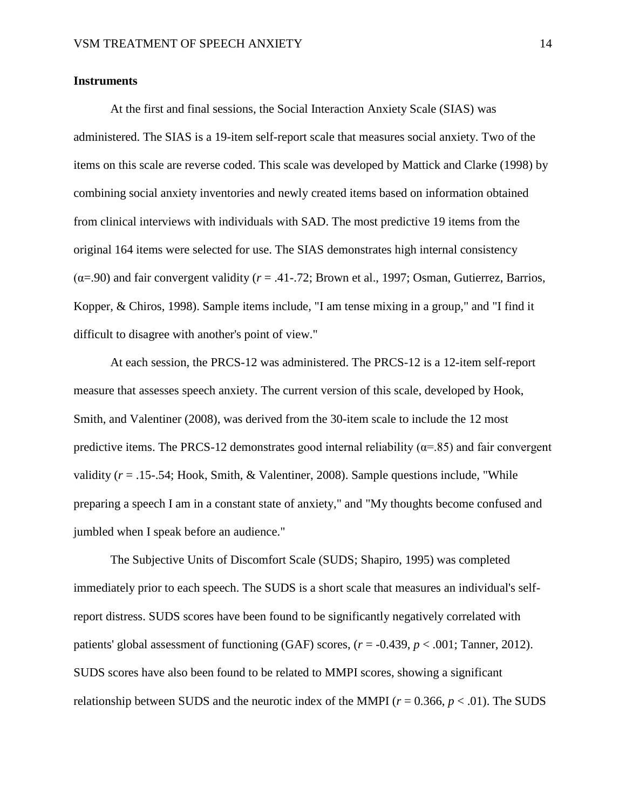### **Instruments**

At the first and final sessions, the Social Interaction Anxiety Scale (SIAS) was administered. The SIAS is a 19-item self-report scale that measures social anxiety. Two of the items on this scale are reverse coded. This scale was developed by Mattick and Clarke (1998) by combining social anxiety inventories and newly created items based on information obtained from clinical interviews with individuals with SAD. The most predictive 19 items from the original 164 items were selected for use. The SIAS demonstrates high internal consistency  $(\alpha = .90)$  and fair convergent validity ( $r = .41$ -.72; Brown et al., 1997; Osman, Gutierrez, Barrios, Kopper, & Chiros, 1998). Sample items include, "I am tense mixing in a group," and "I find it difficult to disagree with another's point of view."

At each session, the PRCS-12 was administered. The PRCS-12 is a 12-item self-report measure that assesses speech anxiety. The current version of this scale, developed by Hook, Smith, and Valentiner (2008), was derived from the 30-item scale to include the 12 most predictive items. The PRCS-12 demonstrates good internal reliability ( $\alpha$ =.85) and fair convergent validity  $(r = .15-.54; Hook, Smith, & Valentiner, 2008)$ . Sample questions include, "While preparing a speech I am in a constant state of anxiety," and "My thoughts become confused and jumbled when I speak before an audience."

The Subjective Units of Discomfort Scale (SUDS; Shapiro, 1995) was completed immediately prior to each speech. The SUDS is a short scale that measures an individual's selfreport distress. SUDS scores have been found to be significantly negatively correlated with patients' global assessment of functioning (GAF) scores,  $(r = -0.439, p < .001$ ; Tanner, 2012). SUDS scores have also been found to be related to MMPI scores, showing a significant relationship between SUDS and the neurotic index of the MMPI ( $r = 0.366$ ,  $p < .01$ ). The SUDS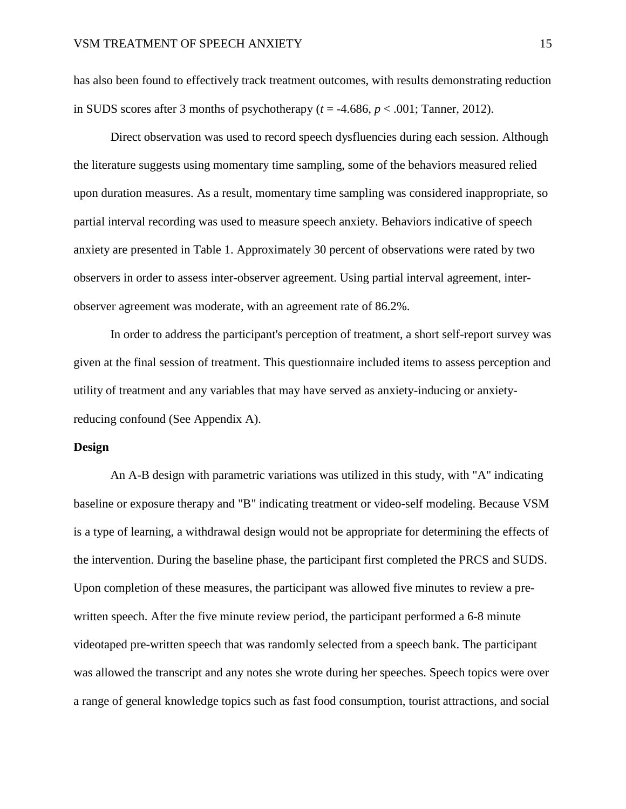has also been found to effectively track treatment outcomes, with results demonstrating reduction in SUDS scores after 3 months of psychotherapy  $(t = -4.686, p < .001$ ; Tanner, 2012).

Direct observation was used to record speech dysfluencies during each session. Although the literature suggests using momentary time sampling, some of the behaviors measured relied upon duration measures. As a result, momentary time sampling was considered inappropriate, so partial interval recording was used to measure speech anxiety. Behaviors indicative of speech anxiety are presented in Table 1. Approximately 30 percent of observations were rated by two observers in order to assess inter-observer agreement. Using partial interval agreement, interobserver agreement was moderate, with an agreement rate of 86.2%.

In order to address the participant's perception of treatment, a short self-report survey was given at the final session of treatment. This questionnaire included items to assess perception and utility of treatment and any variables that may have served as anxiety-inducing or anxietyreducing confound (See Appendix A).

### **Design**

An A-B design with parametric variations was utilized in this study, with "A" indicating baseline or exposure therapy and "B" indicating treatment or video-self modeling. Because VSM is a type of learning, a withdrawal design would not be appropriate for determining the effects of the intervention. During the baseline phase, the participant first completed the PRCS and SUDS. Upon completion of these measures, the participant was allowed five minutes to review a prewritten speech. After the five minute review period, the participant performed a 6-8 minute videotaped pre-written speech that was randomly selected from a speech bank. The participant was allowed the transcript and any notes she wrote during her speeches. Speech topics were over a range of general knowledge topics such as fast food consumption, tourist attractions, and social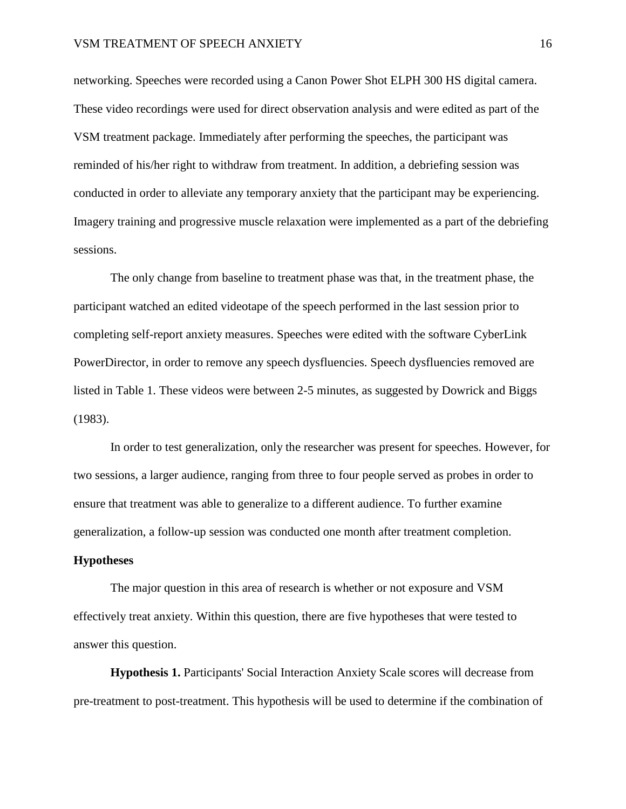networking. Speeches were recorded using a Canon Power Shot ELPH 300 HS digital camera. These video recordings were used for direct observation analysis and were edited as part of the VSM treatment package. Immediately after performing the speeches, the participant was reminded of his/her right to withdraw from treatment. In addition, a debriefing session was conducted in order to alleviate any temporary anxiety that the participant may be experiencing. Imagery training and progressive muscle relaxation were implemented as a part of the debriefing sessions.

The only change from baseline to treatment phase was that, in the treatment phase, the participant watched an edited videotape of the speech performed in the last session prior to completing self-report anxiety measures. Speeches were edited with the software CyberLink PowerDirector, in order to remove any speech dysfluencies. Speech dysfluencies removed are listed in Table 1. These videos were between 2-5 minutes, as suggested by Dowrick and Biggs (1983).

In order to test generalization, only the researcher was present for speeches. However, for two sessions, a larger audience, ranging from three to four people served as probes in order to ensure that treatment was able to generalize to a different audience. To further examine generalization, a follow-up session was conducted one month after treatment completion.

### **Hypotheses**

The major question in this area of research is whether or not exposure and VSM effectively treat anxiety. Within this question, there are five hypotheses that were tested to answer this question.

**Hypothesis 1.** Participants' Social Interaction Anxiety Scale scores will decrease from pre-treatment to post-treatment. This hypothesis will be used to determine if the combination of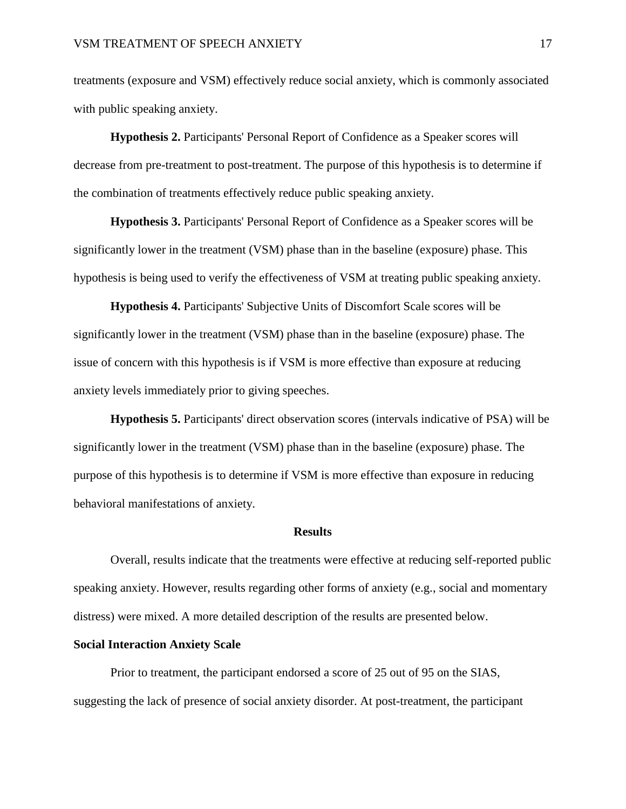treatments (exposure and VSM) effectively reduce social anxiety, which is commonly associated with public speaking anxiety.

**Hypothesis 2.** Participants' Personal Report of Confidence as a Speaker scores will decrease from pre-treatment to post-treatment. The purpose of this hypothesis is to determine if the combination of treatments effectively reduce public speaking anxiety.

**Hypothesis 3.** Participants' Personal Report of Confidence as a Speaker scores will be significantly lower in the treatment (VSM) phase than in the baseline (exposure) phase. This hypothesis is being used to verify the effectiveness of VSM at treating public speaking anxiety.

**Hypothesis 4.** Participants' Subjective Units of Discomfort Scale scores will be significantly lower in the treatment (VSM) phase than in the baseline (exposure) phase. The issue of concern with this hypothesis is if VSM is more effective than exposure at reducing anxiety levels immediately prior to giving speeches.

**Hypothesis 5.** Participants' direct observation scores (intervals indicative of PSA) will be significantly lower in the treatment (VSM) phase than in the baseline (exposure) phase. The purpose of this hypothesis is to determine if VSM is more effective than exposure in reducing behavioral manifestations of anxiety.

#### **Results**

Overall, results indicate that the treatments were effective at reducing self-reported public speaking anxiety. However, results regarding other forms of anxiety (e.g., social and momentary distress) were mixed. A more detailed description of the results are presented below.

### **Social Interaction Anxiety Scale**

Prior to treatment, the participant endorsed a score of 25 out of 95 on the SIAS, suggesting the lack of presence of social anxiety disorder. At post-treatment, the participant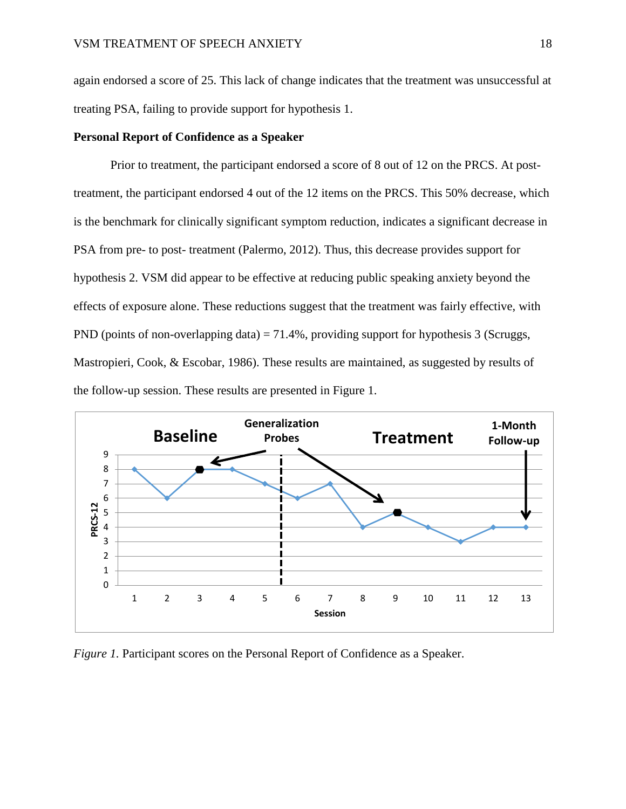again endorsed a score of 25. This lack of change indicates that the treatment was unsuccessful at treating PSA, failing to provide support for hypothesis 1.

### **Personal Report of Confidence as a Speaker**

Prior to treatment, the participant endorsed a score of 8 out of 12 on the PRCS. At posttreatment, the participant endorsed 4 out of the 12 items on the PRCS. This 50% decrease, which is the benchmark for clinically significant symptom reduction, indicates a significant decrease in PSA from pre- to post- treatment (Palermo, 2012). Thus, this decrease provides support for hypothesis 2. VSM did appear to be effective at reducing public speaking anxiety beyond the effects of exposure alone. These reductions suggest that the treatment was fairly effective, with PND (points of non-overlapping data) = 71.4%, providing support for hypothesis 3 (Scruggs, Mastropieri, Cook, & Escobar, 1986). These results are maintained, as suggested by results of the follow-up session. These results are presented in Figure 1.



*Figure 1.* Participant scores on the Personal Report of Confidence as a Speaker.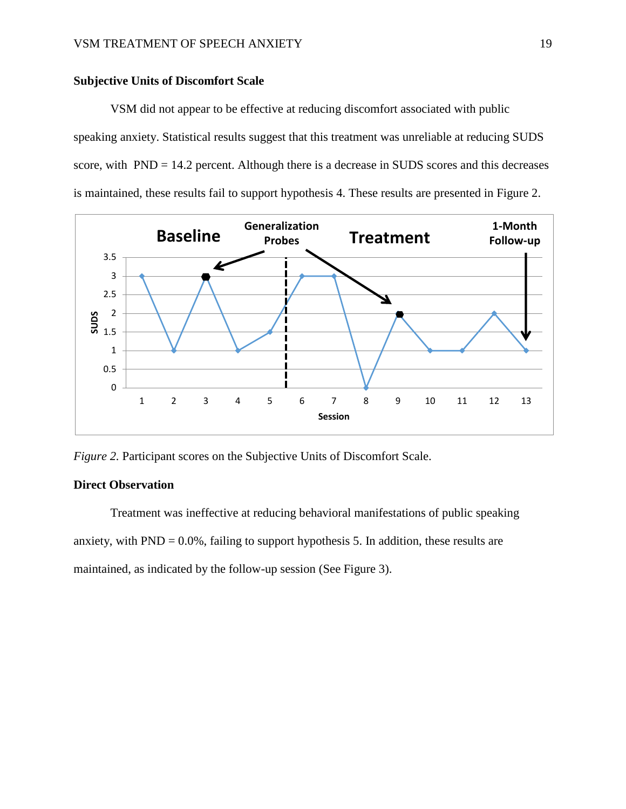### **Subjective Units of Discomfort Scale**

VSM did not appear to be effective at reducing discomfort associated with public speaking anxiety. Statistical results suggest that this treatment was unreliable at reducing SUDS score, with PND = 14.2 percent. Although there is a decrease in SUDS scores and this decreases is maintained, these results fail to support hypothesis 4. These results are presented in Figure 2.



*Figure 2. Participant scores on the Subjective Units of Discomfort Scale.* 

### **Direct Observation**

Treatment was ineffective at reducing behavioral manifestations of public speaking anxiety, with  $PND = 0.0\%$ , failing to support hypothesis 5. In addition, these results are maintained, as indicated by the follow-up session (See Figure 3).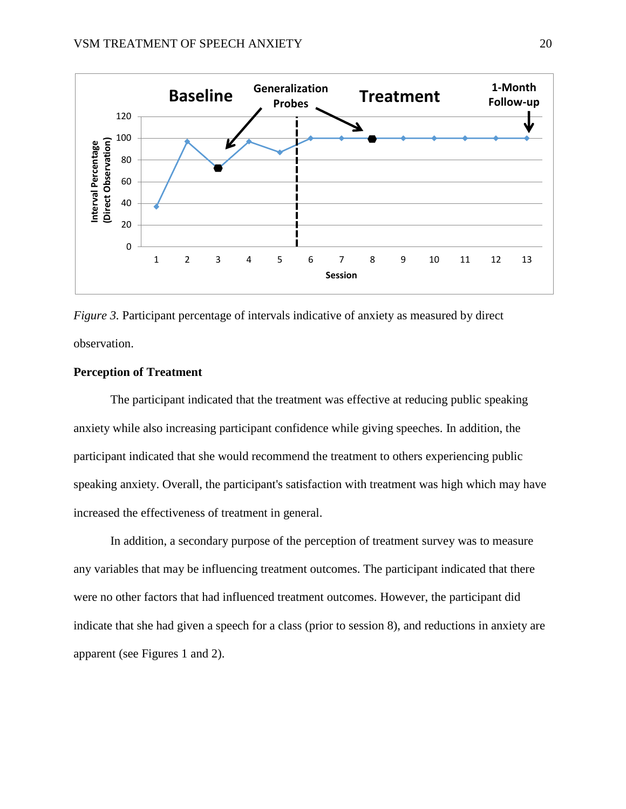



# **Perception of Treatment**

The participant indicated that the treatment was effective at reducing public speaking anxiety while also increasing participant confidence while giving speeches. In addition, the participant indicated that she would recommend the treatment to others experiencing public speaking anxiety. Overall, the participant's satisfaction with treatment was high which may have increased the effectiveness of treatment in general.

In addition, a secondary purpose of the perception of treatment survey was to measure any variables that may be influencing treatment outcomes. The participant indicated that there were no other factors that had influenced treatment outcomes. However, the participant did indicate that she had given a speech for a class (prior to session 8), and reductions in anxiety are apparent (see Figures 1 and 2).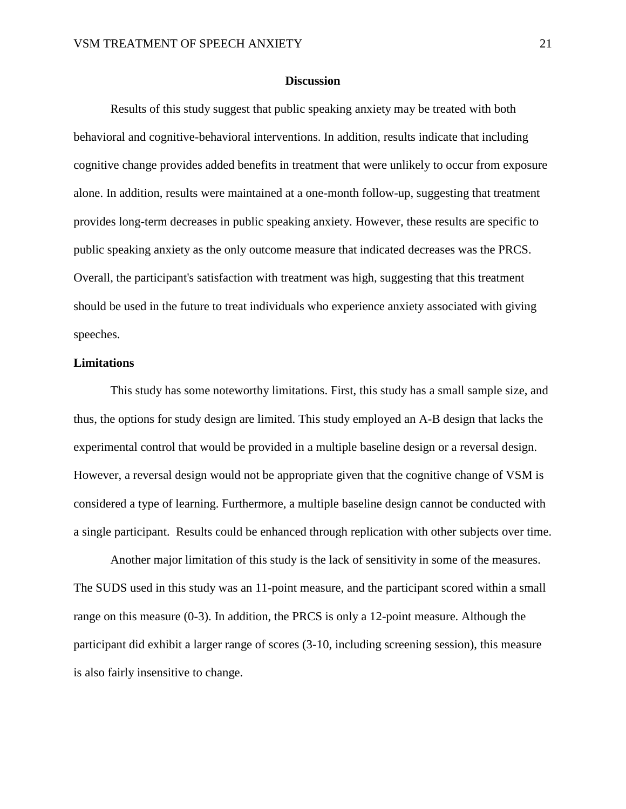#### **Discussion**

Results of this study suggest that public speaking anxiety may be treated with both behavioral and cognitive-behavioral interventions. In addition, results indicate that including cognitive change provides added benefits in treatment that were unlikely to occur from exposure alone. In addition, results were maintained at a one-month follow-up, suggesting that treatment provides long-term decreases in public speaking anxiety. However, these results are specific to public speaking anxiety as the only outcome measure that indicated decreases was the PRCS. Overall, the participant's satisfaction with treatment was high, suggesting that this treatment should be used in the future to treat individuals who experience anxiety associated with giving speeches.

#### **Limitations**

This study has some noteworthy limitations. First, this study has a small sample size, and thus, the options for study design are limited. This study employed an A-B design that lacks the experimental control that would be provided in a multiple baseline design or a reversal design. However, a reversal design would not be appropriate given that the cognitive change of VSM is considered a type of learning. Furthermore, a multiple baseline design cannot be conducted with a single participant. Results could be enhanced through replication with other subjects over time.

Another major limitation of this study is the lack of sensitivity in some of the measures. The SUDS used in this study was an 11-point measure, and the participant scored within a small range on this measure (0-3). In addition, the PRCS is only a 12-point measure. Although the participant did exhibit a larger range of scores (3-10, including screening session), this measure is also fairly insensitive to change.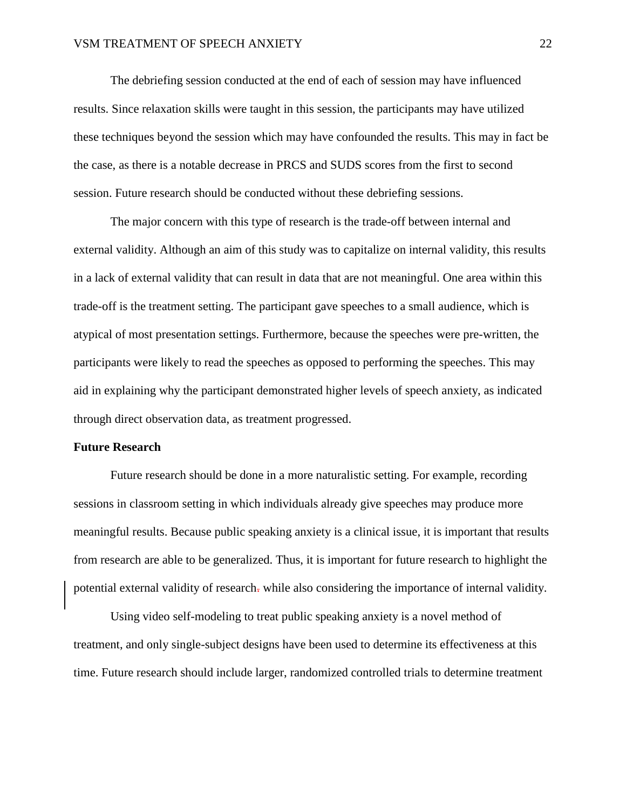The debriefing session conducted at the end of each of session may have influenced results. Since relaxation skills were taught in this session, the participants may have utilized these techniques beyond the session which may have confounded the results. This may in fact be the case, as there is a notable decrease in PRCS and SUDS scores from the first to second session. Future research should be conducted without these debriefing sessions.

The major concern with this type of research is the trade-off between internal and external validity. Although an aim of this study was to capitalize on internal validity, this results in a lack of external validity that can result in data that are not meaningful. One area within this trade-off is the treatment setting. The participant gave speeches to a small audience, which is atypical of most presentation settings. Furthermore, because the speeches were pre-written, the participants were likely to read the speeches as opposed to performing the speeches. This may aid in explaining why the participant demonstrated higher levels of speech anxiety, as indicated through direct observation data, as treatment progressed.

#### **Future Research**

Future research should be done in a more naturalistic setting. For example, recording sessions in classroom setting in which individuals already give speeches may produce more meaningful results. Because public speaking anxiety is a clinical issue, it is important that results from research are able to be generalized. Thus, it is important for future research to highlight the potential external validity of research. while also considering the importance of internal validity.

Using video self-modeling to treat public speaking anxiety is a novel method of treatment, and only single-subject designs have been used to determine its effectiveness at this time. Future research should include larger, randomized controlled trials to determine treatment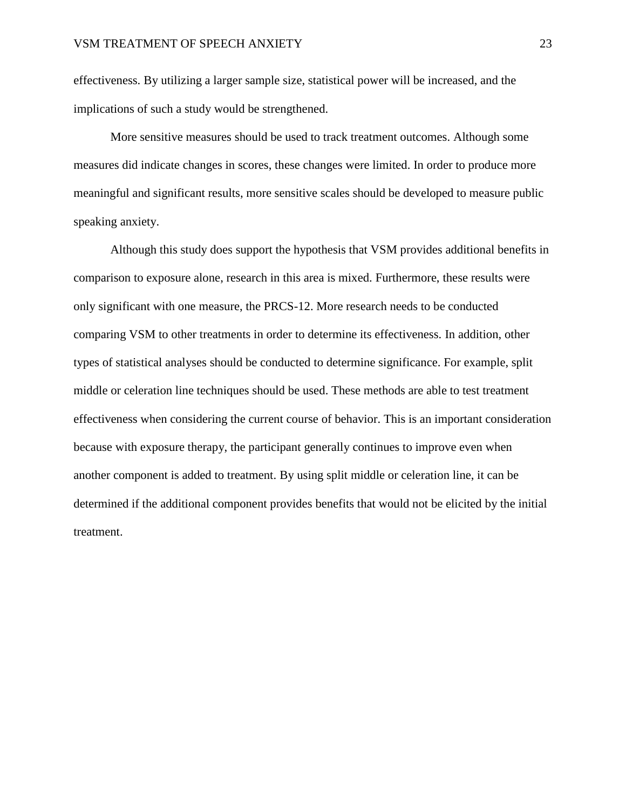effectiveness. By utilizing a larger sample size, statistical power will be increased, and the implications of such a study would be strengthened.

More sensitive measures should be used to track treatment outcomes. Although some measures did indicate changes in scores, these changes were limited. In order to produce more meaningful and significant results, more sensitive scales should be developed to measure public speaking anxiety.

Although this study does support the hypothesis that VSM provides additional benefits in comparison to exposure alone, research in this area is mixed. Furthermore, these results were only significant with one measure, the PRCS-12. More research needs to be conducted comparing VSM to other treatments in order to determine its effectiveness. In addition, other types of statistical analyses should be conducted to determine significance. For example, split middle or celeration line techniques should be used. These methods are able to test treatment effectiveness when considering the current course of behavior. This is an important consideration because with exposure therapy, the participant generally continues to improve even when another component is added to treatment. By using split middle or celeration line, it can be determined if the additional component provides benefits that would not be elicited by the initial treatment.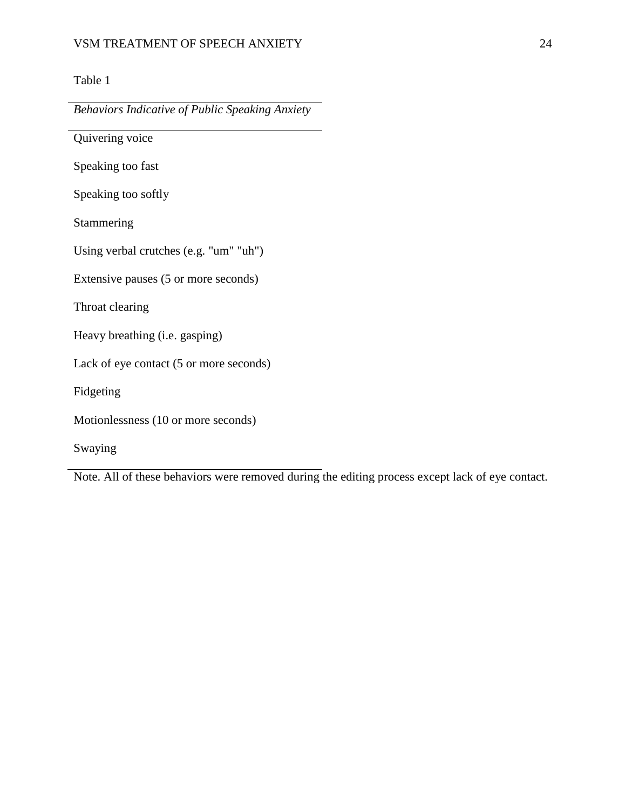# Table 1

*Behaviors Indicative of Public Speaking Anxiety*

Quivering voice Speaking too fast Speaking too softly Stammering Using verbal crutches (e.g. "um" "uh") Extensive pauses (5 or more seconds) Throat clearing Heavy breathing (i.e. gasping) Lack of eye contact (5 or more seconds) Fidgeting Motionlessness (10 or more seconds) Swaying

Note. All of these behaviors were removed during the editing process except lack of eye contact.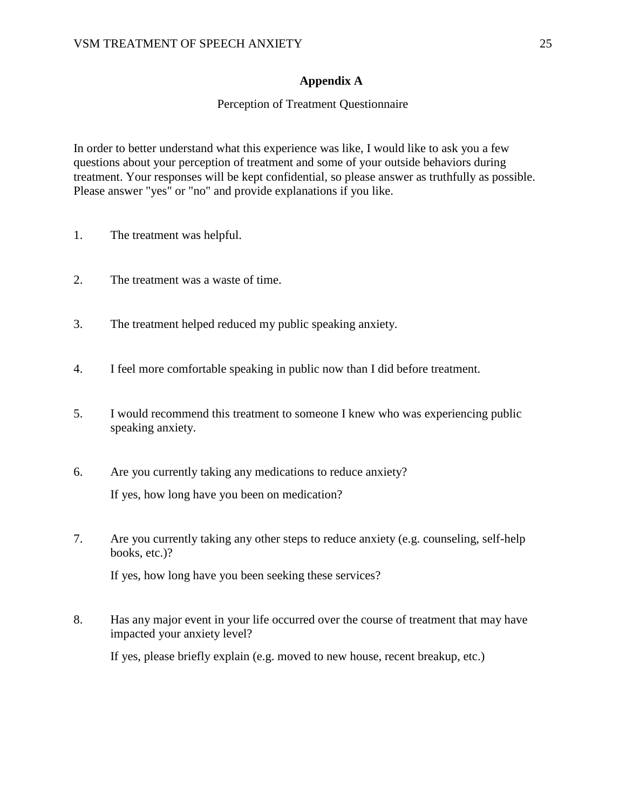### **Appendix A**

### Perception of Treatment Questionnaire

In order to better understand what this experience was like, I would like to ask you a few questions about your perception of treatment and some of your outside behaviors during treatment. Your responses will be kept confidential, so please answer as truthfully as possible. Please answer "yes" or "no" and provide explanations if you like.

- 1. The treatment was helpful.
- 2. The treatment was a waste of time.
- 3. The treatment helped reduced my public speaking anxiety.
- 4. I feel more comfortable speaking in public now than I did before treatment.
- 5. I would recommend this treatment to someone I knew who was experiencing public speaking anxiety.
- 6. Are you currently taking any medications to reduce anxiety? If yes, how long have you been on medication?
- 7. Are you currently taking any other steps to reduce anxiety (e.g. counseling, self-help books, etc.)?

If yes, how long have you been seeking these services?

8. Has any major event in your life occurred over the course of treatment that may have impacted your anxiety level?

If yes, please briefly explain (e.g. moved to new house, recent breakup, etc.)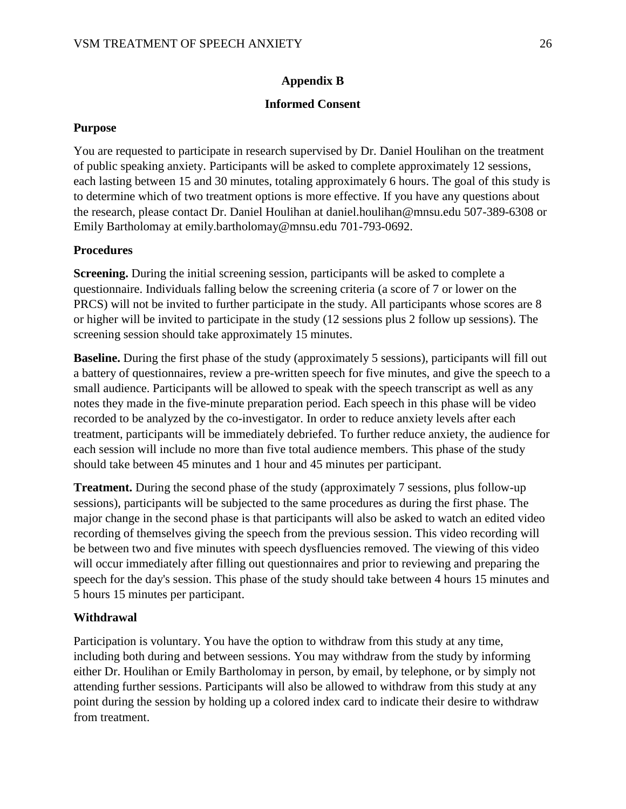# **Appendix B**

### **Informed Consent**

### **Purpose**

You are requested to participate in research supervised by Dr. Daniel Houlihan on the treatment of public speaking anxiety. Participants will be asked to complete approximately 12 sessions, each lasting between 15 and 30 minutes, totaling approximately 6 hours. The goal of this study is to determine which of two treatment options is more effective. If you have any questions about the research, please contact Dr. Daniel Houlihan at daniel.houlihan@mnsu.edu 507-389-6308 or Emily Bartholomay at emily.bartholomay@mnsu.edu 701-793-0692.

### **Procedures**

**Screening.** During the initial screening session, participants will be asked to complete a questionnaire. Individuals falling below the screening criteria (a score of 7 or lower on the PRCS) will not be invited to further participate in the study. All participants whose scores are 8 or higher will be invited to participate in the study (12 sessions plus 2 follow up sessions). The screening session should take approximately 15 minutes.

**Baseline.** During the first phase of the study (approximately 5 sessions), participants will fill out a battery of questionnaires, review a pre-written speech for five minutes, and give the speech to a small audience. Participants will be allowed to speak with the speech transcript as well as any notes they made in the five-minute preparation period. Each speech in this phase will be video recorded to be analyzed by the co-investigator. In order to reduce anxiety levels after each treatment, participants will be immediately debriefed. To further reduce anxiety, the audience for each session will include no more than five total audience members. This phase of the study should take between 45 minutes and 1 hour and 45 minutes per participant.

**Treatment.** During the second phase of the study (approximately 7 sessions, plus follow-up sessions), participants will be subjected to the same procedures as during the first phase. The major change in the second phase is that participants will also be asked to watch an edited video recording of themselves giving the speech from the previous session. This video recording will be between two and five minutes with speech dysfluencies removed. The viewing of this video will occur immediately after filling out questionnaires and prior to reviewing and preparing the speech for the day's session. This phase of the study should take between 4 hours 15 minutes and 5 hours 15 minutes per participant.

## **Withdrawal**

Participation is voluntary. You have the option to withdraw from this study at any time, including both during and between sessions. You may withdraw from the study by informing either Dr. Houlihan or Emily Bartholomay in person, by email, by telephone, or by simply not attending further sessions. Participants will also be allowed to withdraw from this study at any point during the session by holding up a colored index card to indicate their desire to withdraw from treatment.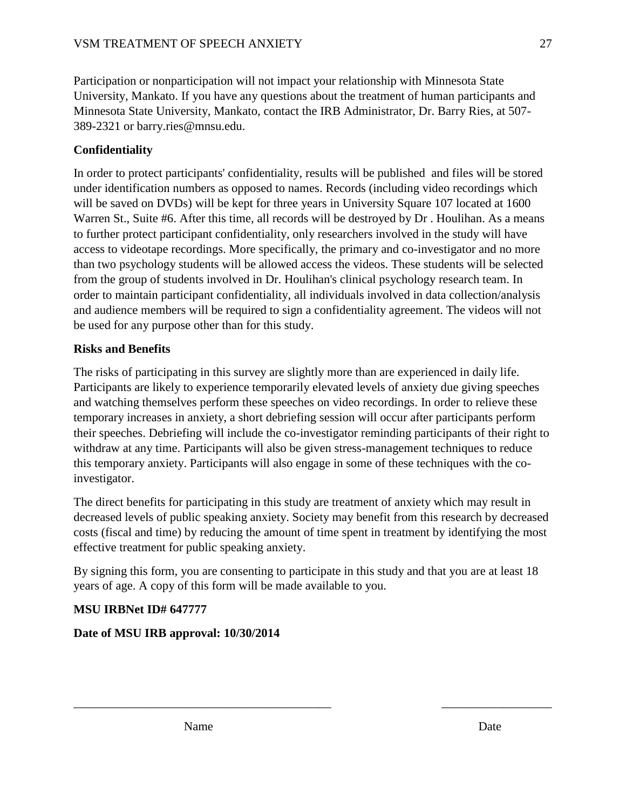Participation or nonparticipation will not impact your relationship with Minnesota State University, Mankato. If you have any questions about the treatment of human participants and Minnesota State University, Mankato, contact the IRB Administrator, Dr. Barry Ries, at 507- 389-2321 or barry.ries@mnsu.edu.

# **Confidentiality**

In order to protect participants' confidentiality, results will be published and files will be stored under identification numbers as opposed to names. Records (including video recordings which will be saved on DVDs) will be kept for three years in University Square 107 located at 1600 Warren St., Suite #6. After this time, all records will be destroyed by Dr . Houlihan. As a means to further protect participant confidentiality, only researchers involved in the study will have access to videotape recordings. More specifically, the primary and co-investigator and no more than two psychology students will be allowed access the videos. These students will be selected from the group of students involved in Dr. Houlihan's clinical psychology research team. In order to maintain participant confidentiality, all individuals involved in data collection/analysis and audience members will be required to sign a confidentiality agreement. The videos will not be used for any purpose other than for this study.

# **Risks and Benefits**

The risks of participating in this survey are slightly more than are experienced in daily life. Participants are likely to experience temporarily elevated levels of anxiety due giving speeches and watching themselves perform these speeches on video recordings. In order to relieve these temporary increases in anxiety, a short debriefing session will occur after participants perform their speeches. Debriefing will include the co-investigator reminding participants of their right to withdraw at any time. Participants will also be given stress-management techniques to reduce this temporary anxiety. Participants will also engage in some of these techniques with the coinvestigator.

The direct benefits for participating in this study are treatment of anxiety which may result in decreased levels of public speaking anxiety. Society may benefit from this research by decreased costs (fiscal and time) by reducing the amount of time spent in treatment by identifying the most effective treatment for public speaking anxiety.

By signing this form, you are consenting to participate in this study and that you are at least 18 years of age. A copy of this form will be made available to you.

 $\overline{\phantom{a}}$  , and the contribution of the contribution of the contribution of the contribution of the contribution of the contribution of the contribution of the contribution of the contribution of the contribution of the

# **MSU IRBNet ID# 647777**

# **Date of MSU IRB approval: 10/30/2014**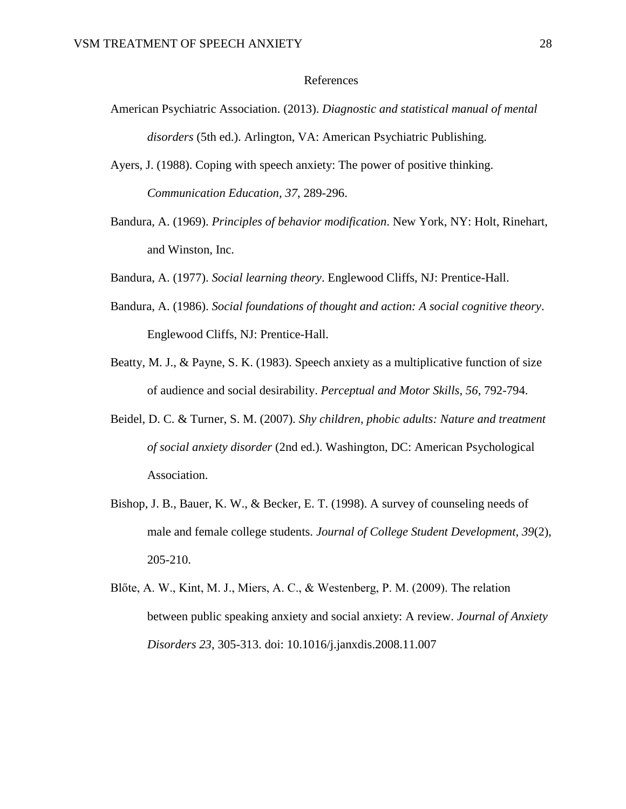#### References

- American Psychiatric Association. (2013). *Diagnostic and statistical manual of mental disorders* (5th ed.). Arlington, VA: American Psychiatric Publishing.
- Ayers, J. (1988). Coping with speech anxiety: The power of positive thinking. *Communication Education, 37*, 289-296.
- Bandura, A. (1969). *Principles of behavior modification*. New York, NY: Holt, Rinehart, and Winston, Inc.
- Bandura, A. (1977). *Social learning theory*. Englewood Cliffs, NJ: Prentice-Hall.
- Bandura, A. (1986). *Social foundations of thought and action: A social cognitive theory*. Englewood Cliffs, NJ: Prentice-Hall.
- Beatty, M. J., & Payne, S. K. (1983). Speech anxiety as a multiplicative function of size of audience and social desirability. *Perceptual and Motor Skills, 56*, 792-794.
- Beidel, D. C. & Turner, S. M. (2007). *Shy children, phobic adults: Nature and treatment of social anxiety disorder* (2nd ed.). Washington, DC: American Psychological Association.
- Bishop, J. B., Bauer, K. W., & Becker, E. T. (1998). A survey of counseling needs of male and female college students. *Journal of College Student Development, 39*(2), 205-210.
- Blőte, A. W., Kint, M. J., Miers, A. C., & Westenberg, P. M. (2009). The relation between public speaking anxiety and social anxiety: A review. *Journal of Anxiety Disorders 23*, 305-313. doi: 10.1016/j.janxdis.2008.11.007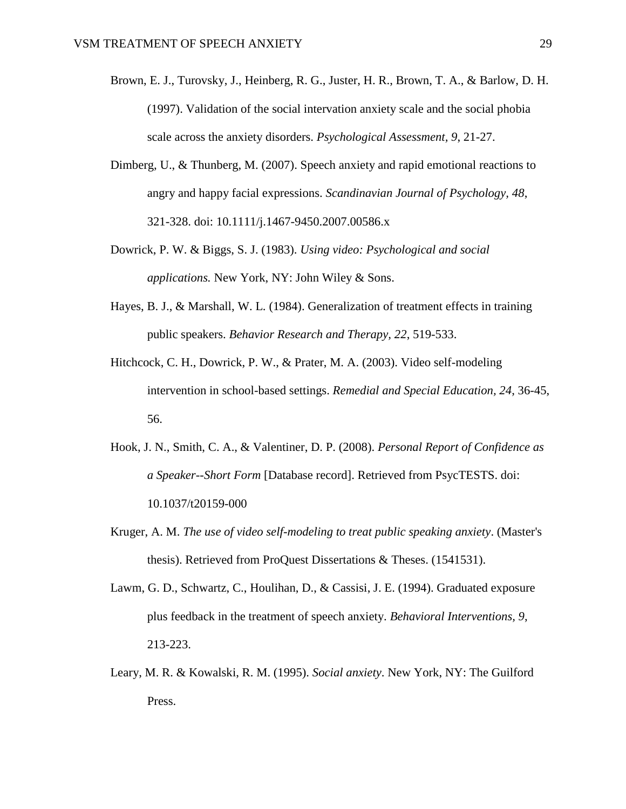- Brown, E. J., Turovsky, J., Heinberg, R. G., Juster, H. R., Brown, T. A., & Barlow, D. H. (1997). Validation of the social intervation anxiety scale and the social phobia scale across the anxiety disorders. *Psychological Assessment, 9*, 21-27.
- Dimberg, U., & Thunberg, M. (2007). Speech anxiety and rapid emotional reactions to angry and happy facial expressions. *Scandinavian Journal of Psychology, 48*, 321-328. doi: 10.1111/j.1467-9450.2007.00586.x
- Dowrick, P. W. & Biggs, S. J. (1983). *Using video: Psychological and social applications.* New York, NY: John Wiley & Sons.
- Hayes, B. J., & Marshall, W. L. (1984). Generalization of treatment effects in training public speakers. *Behavior Research and Therapy, 22*, 519-533.
- Hitchcock, C. H., Dowrick, P. W., & Prater, M. A. (2003). Video self-modeling intervention in school-based settings. *Remedial and Special Education, 24*, 36-45, 56.
- Hook, J. N., Smith, C. A., & Valentiner, D. P. (2008). *Personal Report of Confidence as a Speaker--Short Form* [Database record]. Retrieved from PsycTESTS. doi: 10.1037/t20159-000
- Kruger, A. M. *The use of video self-modeling to treat public speaking anxiety*. (Master's thesis). Retrieved from ProQuest Dissertations & Theses. (1541531).
- Lawm, G. D., Schwartz, C., Houlihan, D., & Cassisi, J. E. (1994). Graduated exposure plus feedback in the treatment of speech anxiety. *Behavioral Interventions, 9*, 213-223.
- Leary, M. R. & Kowalski, R. M. (1995). *Social anxiety*. New York, NY: The Guilford Press.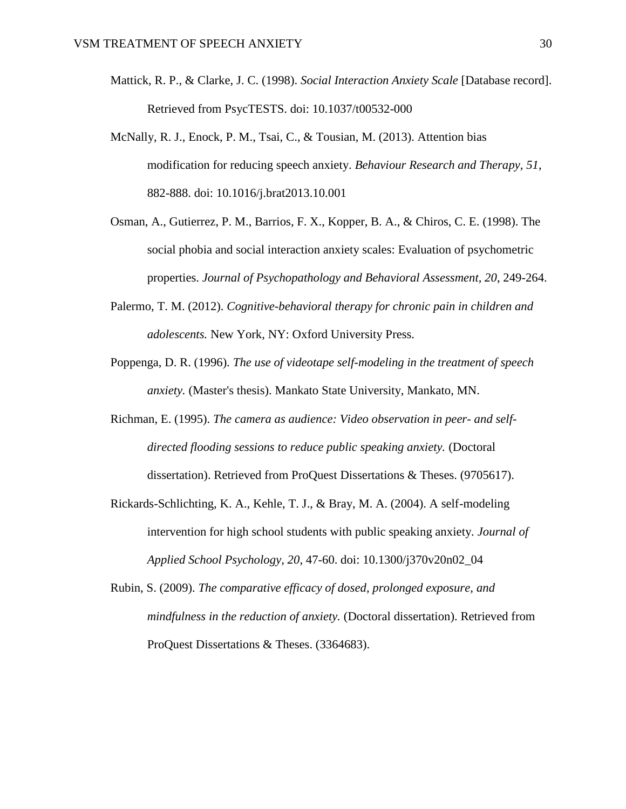- Mattick, R. P., & Clarke, J. C. (1998). *Social Interaction Anxiety Scale* [Database record]. Retrieved from PsycTESTS. doi: 10.1037/t00532-000
- McNally, R. J., Enock, P. M., Tsai, C., & Tousian, M. (2013). Attention bias modification for reducing speech anxiety. *Behaviour Research and Therapy, 51*, 882-888. doi: 10.1016/j.brat2013.10.001
- Osman, A., Gutierrez, P. M., Barrios, F. X., Kopper, B. A., & Chiros, C. E. (1998). The social phobia and social interaction anxiety scales: Evaluation of psychometric properties. *Journal of Psychopathology and Behavioral Assessment, 20*, 249-264.
- Palermo, T. M. (2012). *Cognitive-behavioral therapy for chronic pain in children and adolescents.* New York, NY: Oxford University Press.
- Poppenga, D. R. (1996). *The use of videotape self-modeling in the treatment of speech anxiety.* (Master's thesis). Mankato State University, Mankato, MN.
- Richman, E. (1995). *The camera as audience: Video observation in peer- and selfdirected flooding sessions to reduce public speaking anxiety.* (Doctoral dissertation). Retrieved from ProQuest Dissertations & Theses. (9705617).
- Rickards-Schlichting, K. A., Kehle, T. J., & Bray, M. A. (2004). A self-modeling intervention for high school students with public speaking anxiety. *Journal of Applied School Psychology, 20*, 47-60. doi: 10.1300/j370v20n02\_04
- Rubin, S. (2009). *The comparative efficacy of dosed, prolonged exposure, and mindfulness in the reduction of anxiety.* (Doctoral dissertation). Retrieved from ProQuest Dissertations & Theses. (3364683).